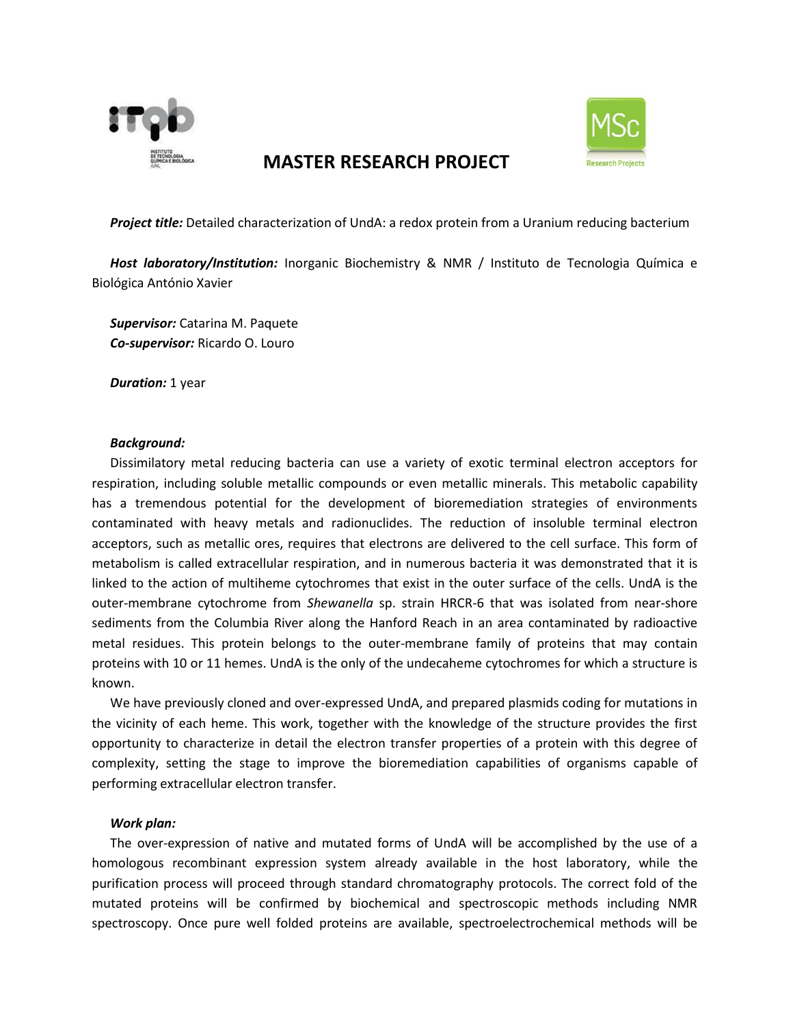

# **MASTER RESEARCH PROJECT**



*Project title:* Detailed characterization of UndA: a redox protein from a Uranium reducing bacterium

*Host laboratory/Institution:* Inorganic Biochemistry & NMR / Instituto de Tecnologia Química e Biológica António Xavier

*Supervisor:* Catarina M. Paquete *Co-supervisor:* Ricardo O. Louro

*Duration:* 1 year

### *Background:*

Dissimilatory metal reducing bacteria can use a variety of exotic terminal electron acceptors for respiration, including soluble metallic compounds or even metallic minerals. This metabolic capability has a tremendous potential for the development of bioremediation strategies of environments contaminated with heavy metals and radionuclides. The reduction of insoluble terminal electron acceptors, such as metallic ores, requires that electrons are delivered to the cell surface. This form of metabolism is called extracellular respiration, and in numerous bacteria it was demonstrated that it is linked to the action of multiheme cytochromes that exist in the outer surface of the cells. UndA is the outer-membrane cytochrome from *Shewanella* sp. strain HRCR-6 that was isolated from near-shore sediments from the Columbia River along the Hanford Reach in an area contaminated by radioactive metal residues. This protein belongs to the outer-membrane family of proteins that may contain proteins with 10 or 11 hemes. UndA is the only of the undecaheme cytochromes for which a structure is known.

We have previously cloned and over-expressed UndA, and prepared plasmids coding for mutations in the vicinity of each heme. This work, together with the knowledge of the structure provides the first opportunity to characterize in detail the electron transfer properties of a protein with this degree of complexity, setting the stage to improve the bioremediation capabilities of organisms capable of performing extracellular electron transfer.

#### *Work plan:*

The over-expression of native and mutated forms of UndA will be accomplished by the use of a homologous recombinant expression system already available in the host laboratory, while the purification process will proceed through standard chromatography protocols. The correct fold of the mutated proteins will be confirmed by biochemical and spectroscopic methods including NMR spectroscopy. Once pure well folded proteins are available, spectroelectrochemical methods will be